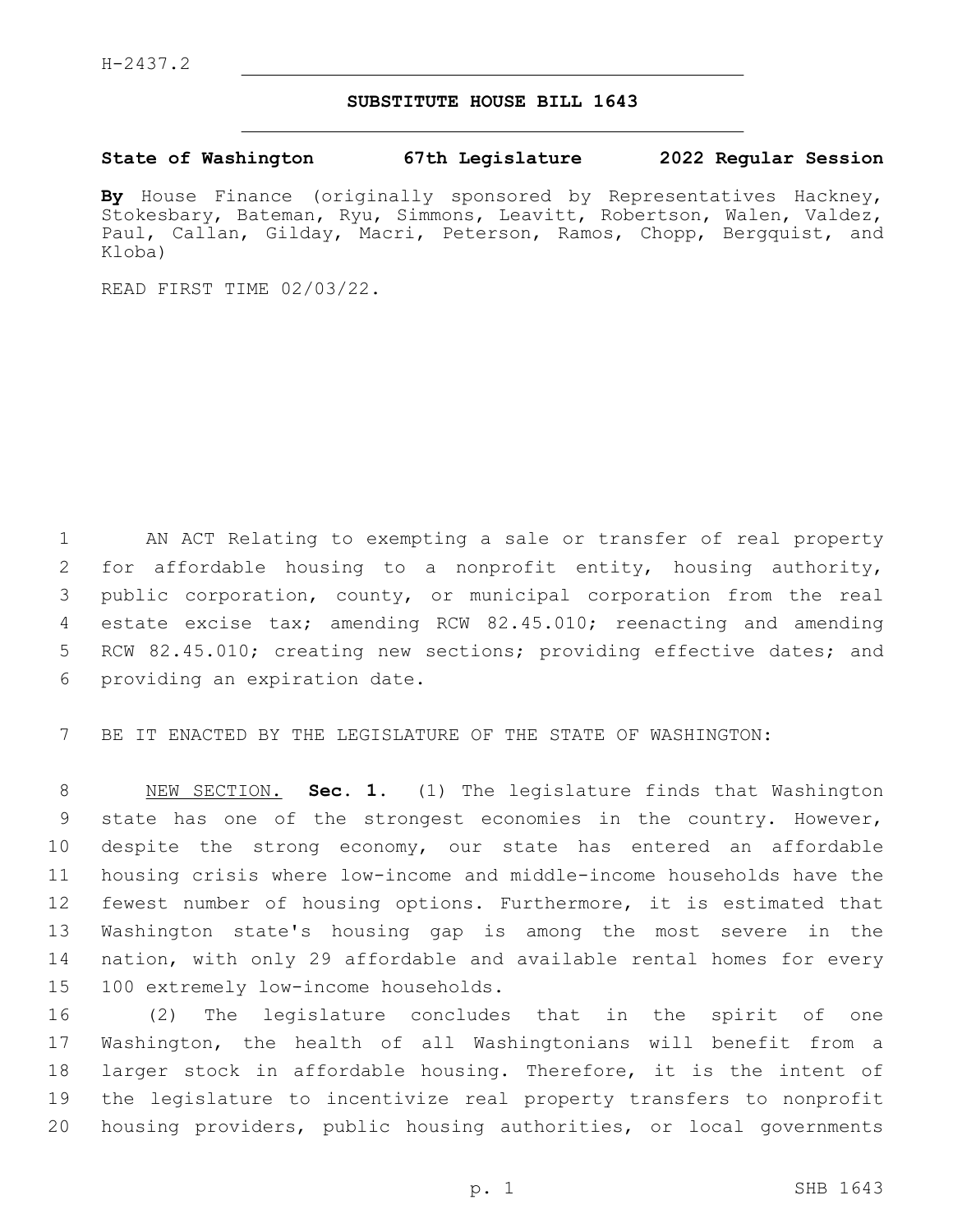## **SUBSTITUTE HOUSE BILL 1643**

## **State of Washington 67th Legislature 2022 Regular Session**

**By** House Finance (originally sponsored by Representatives Hackney, Stokesbary, Bateman, Ryu, Simmons, Leavitt, Robertson, Walen, Valdez, Paul, Callan, Gilday, Macri, Peterson, Ramos, Chopp, Bergquist, and Kloba)

READ FIRST TIME 02/03/22.

 AN ACT Relating to exempting a sale or transfer of real property for affordable housing to a nonprofit entity, housing authority, public corporation, county, or municipal corporation from the real estate excise tax; amending RCW 82.45.010; reenacting and amending RCW 82.45.010; creating new sections; providing effective dates; and 6 providing an expiration date.

BE IT ENACTED BY THE LEGISLATURE OF THE STATE OF WASHINGTON:

 NEW SECTION. **Sec. 1.** (1) The legislature finds that Washington state has one of the strongest economies in the country. However, despite the strong economy, our state has entered an affordable housing crisis where low-income and middle-income households have the fewest number of housing options. Furthermore, it is estimated that Washington state's housing gap is among the most severe in the nation, with only 29 affordable and available rental homes for every 100 extremely low-income households.

 (2) The legislature concludes that in the spirit of one Washington, the health of all Washingtonians will benefit from a larger stock in affordable housing. Therefore, it is the intent of the legislature to incentivize real property transfers to nonprofit housing providers, public housing authorities, or local governments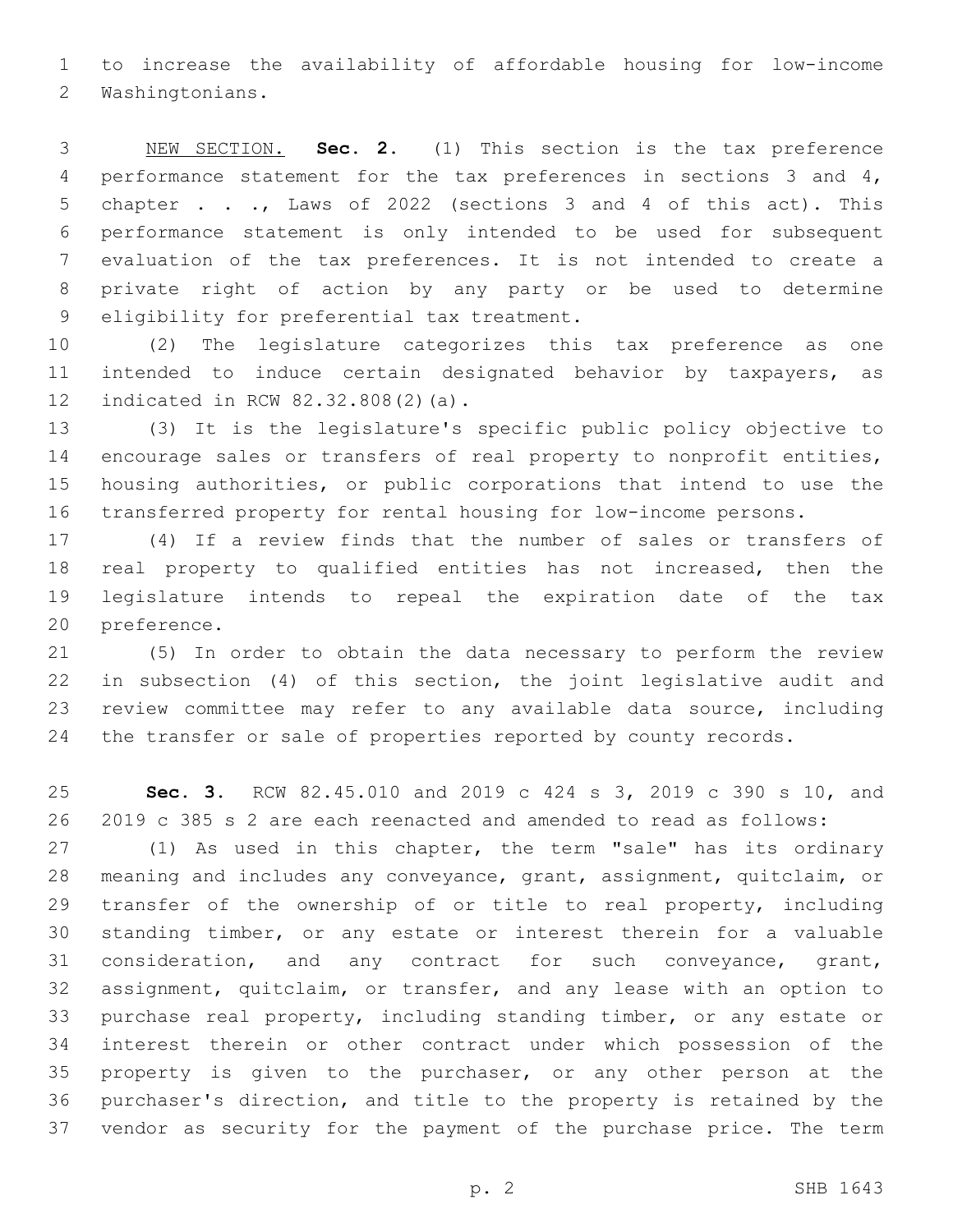to increase the availability of affordable housing for low-income 2 Washingtonians.

 NEW SECTION. **Sec. 2.** (1) This section is the tax preference performance statement for the tax preferences in sections 3 and 4, chapter . . ., Laws of 2022 (sections 3 and 4 of this act). This performance statement is only intended to be used for subsequent evaluation of the tax preferences. It is not intended to create a private right of action by any party or be used to determine eligibility for preferential tax treatment.

 (2) The legislature categorizes this tax preference as one intended to induce certain designated behavior by taxpayers, as 12 indicated in RCW 82.32.808(2)(a).

 (3) It is the legislature's specific public policy objective to encourage sales or transfers of real property to nonprofit entities, housing authorities, or public corporations that intend to use the transferred property for rental housing for low-income persons.

 (4) If a review finds that the number of sales or transfers of real property to qualified entities has not increased, then the legislature intends to repeal the expiration date of the tax 20 preference.

 (5) In order to obtain the data necessary to perform the review in subsection (4) of this section, the joint legislative audit and review committee may refer to any available data source, including the transfer or sale of properties reported by county records.

 **Sec. 3.** RCW 82.45.010 and 2019 c 424 s 3, 2019 c 390 s 10, and 2019 c 385 s 2 are each reenacted and amended to read as follows:

 (1) As used in this chapter, the term "sale" has its ordinary meaning and includes any conveyance, grant, assignment, quitclaim, or 29 transfer of the ownership of or title to real property, including standing timber, or any estate or interest therein for a valuable consideration, and any contract for such conveyance, grant, assignment, quitclaim, or transfer, and any lease with an option to purchase real property, including standing timber, or any estate or interest therein or other contract under which possession of the property is given to the purchaser, or any other person at the purchaser's direction, and title to the property is retained by the vendor as security for the payment of the purchase price. The term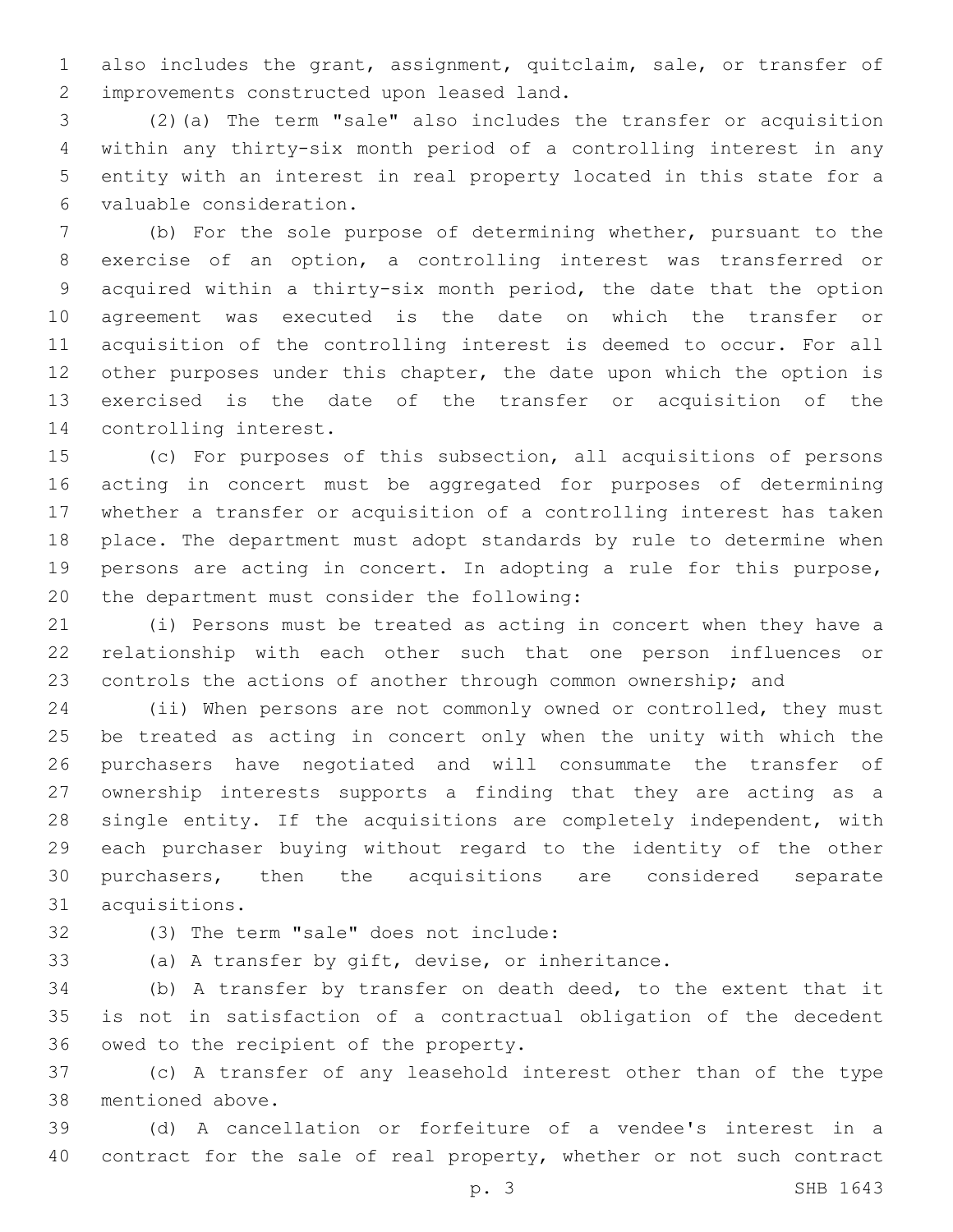also includes the grant, assignment, quitclaim, sale, or transfer of 2 improvements constructed upon leased land.

 (2)(a) The term "sale" also includes the transfer or acquisition within any thirty-six month period of a controlling interest in any entity with an interest in real property located in this state for a valuable consideration.6

 (b) For the sole purpose of determining whether, pursuant to the exercise of an option, a controlling interest was transferred or acquired within a thirty-six month period, the date that the option agreement was executed is the date on which the transfer or acquisition of the controlling interest is deemed to occur. For all 12 other purposes under this chapter, the date upon which the option is exercised is the date of the transfer or acquisition of the 14 controlling interest.

 (c) For purposes of this subsection, all acquisitions of persons acting in concert must be aggregated for purposes of determining whether a transfer or acquisition of a controlling interest has taken place. The department must adopt standards by rule to determine when persons are acting in concert. In adopting a rule for this purpose, 20 the department must consider the following:

 (i) Persons must be treated as acting in concert when they have a relationship with each other such that one person influences or controls the actions of another through common ownership; and

 (ii) When persons are not commonly owned or controlled, they must be treated as acting in concert only when the unity with which the purchasers have negotiated and will consummate the transfer of ownership interests supports a finding that they are acting as a single entity. If the acquisitions are completely independent, with each purchaser buying without regard to the identity of the other purchasers, then the acquisitions are considered separate 31 acquisitions.

(3) The term "sale" does not include:32

(a) A transfer by gift, devise, or inheritance.

 (b) A transfer by transfer on death deed, to the extent that it is not in satisfaction of a contractual obligation of the decedent 36 owed to the recipient of the property.

 (c) A transfer of any leasehold interest other than of the type 38 mentioned above.

 (d) A cancellation or forfeiture of a vendee's interest in a contract for the sale of real property, whether or not such contract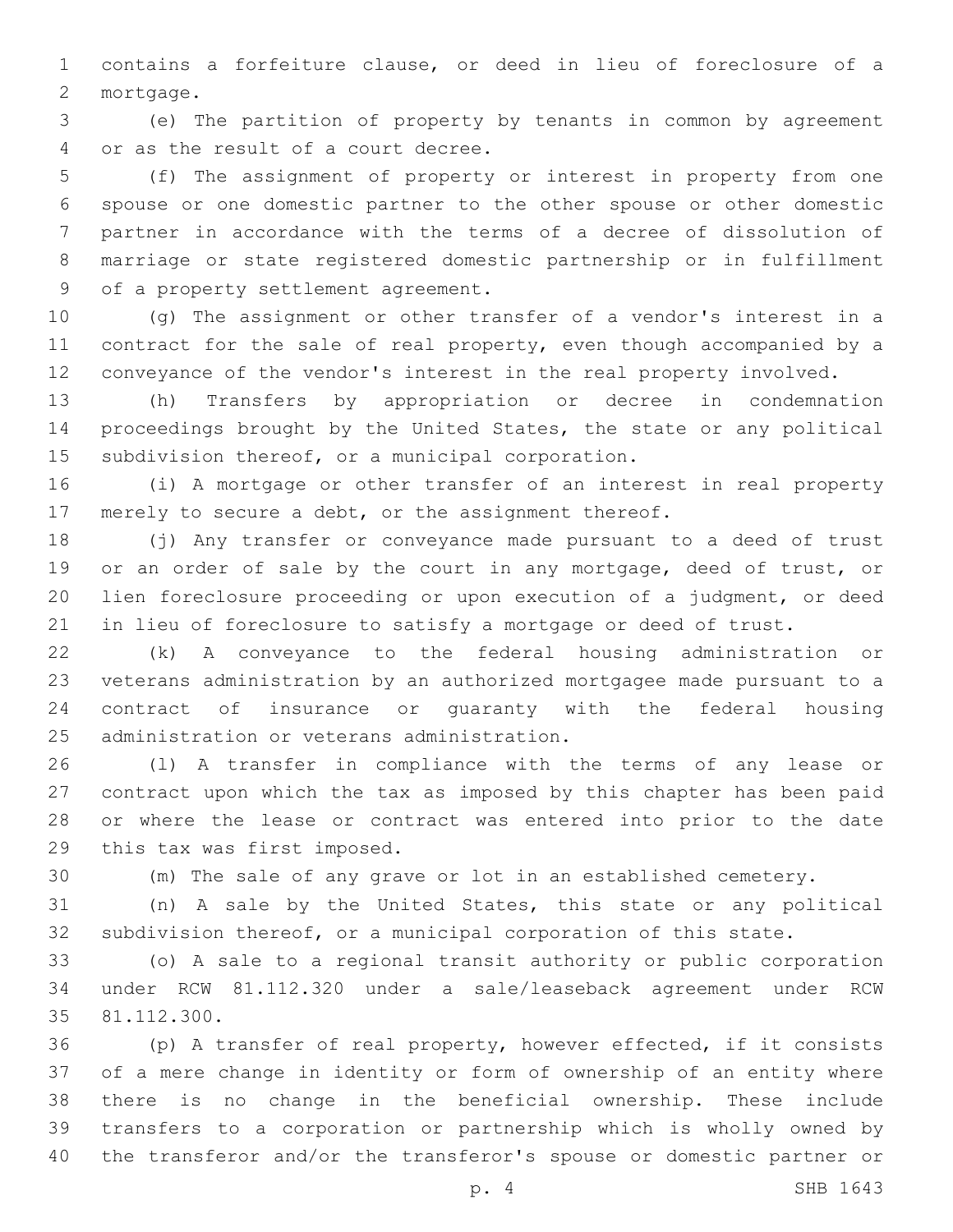contains a forfeiture clause, or deed in lieu of foreclosure of a 2 mortgage.

 (e) The partition of property by tenants in common by agreement 4 or as the result of a court decree.

 (f) The assignment of property or interest in property from one spouse or one domestic partner to the other spouse or other domestic partner in accordance with the terms of a decree of dissolution of marriage or state registered domestic partnership or in fulfillment 9 of a property settlement agreement.

 (g) The assignment or other transfer of a vendor's interest in a contract for the sale of real property, even though accompanied by a conveyance of the vendor's interest in the real property involved.

 (h) Transfers by appropriation or decree in condemnation proceedings brought by the United States, the state or any political 15 subdivision thereof, or a municipal corporation.

 (i) A mortgage or other transfer of an interest in real property merely to secure a debt, or the assignment thereof.

 (j) Any transfer or conveyance made pursuant to a deed of trust 19 or an order of sale by the court in any mortgage, deed of trust, or lien foreclosure proceeding or upon execution of a judgment, or deed in lieu of foreclosure to satisfy a mortgage or deed of trust.

 (k) A conveyance to the federal housing administration or veterans administration by an authorized mortgagee made pursuant to a contract of insurance or guaranty with the federal housing 25 administration or veterans administration.

 (l) A transfer in compliance with the terms of any lease or contract upon which the tax as imposed by this chapter has been paid or where the lease or contract was entered into prior to the date 29 this tax was first imposed.

(m) The sale of any grave or lot in an established cemetery.

 (n) A sale by the United States, this state or any political subdivision thereof, or a municipal corporation of this state.

 (o) A sale to a regional transit authority or public corporation under RCW 81.112.320 under a sale/leaseback agreement under RCW 35 81.112.300.

 (p) A transfer of real property, however effected, if it consists of a mere change in identity or form of ownership of an entity where there is no change in the beneficial ownership. These include transfers to a corporation or partnership which is wholly owned by the transferor and/or the transferor's spouse or domestic partner or

p. 4 SHB 1643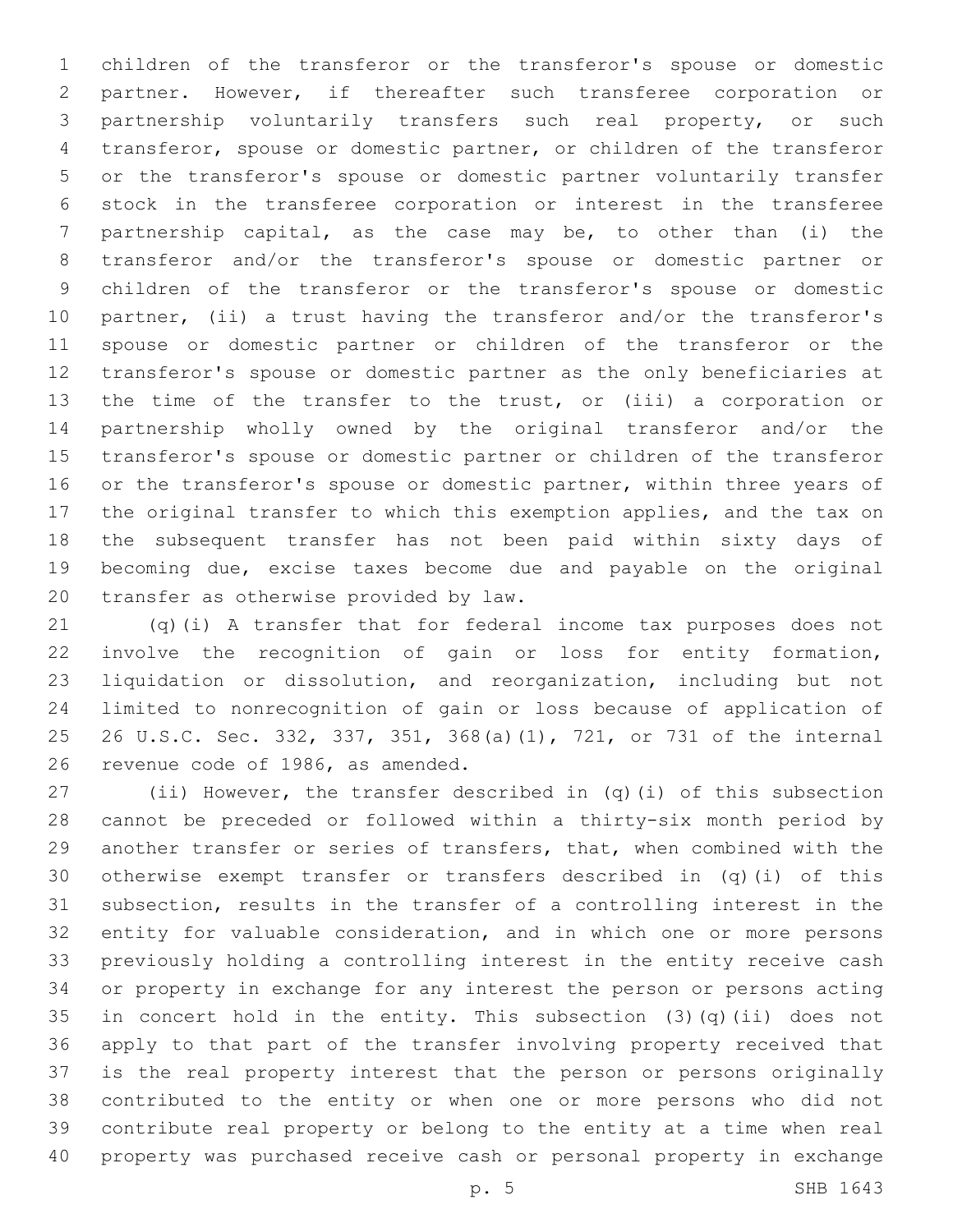children of the transferor or the transferor's spouse or domestic partner. However, if thereafter such transferee corporation or partnership voluntarily transfers such real property, or such transferor, spouse or domestic partner, or children of the transferor or the transferor's spouse or domestic partner voluntarily transfer stock in the transferee corporation or interest in the transferee partnership capital, as the case may be, to other than (i) the transferor and/or the transferor's spouse or domestic partner or children of the transferor or the transferor's spouse or domestic partner, (ii) a trust having the transferor and/or the transferor's spouse or domestic partner or children of the transferor or the transferor's spouse or domestic partner as the only beneficiaries at the time of the transfer to the trust, or (iii) a corporation or partnership wholly owned by the original transferor and/or the transferor's spouse or domestic partner or children of the transferor 16 or the transferor's spouse or domestic partner, within three years of the original transfer to which this exemption applies, and the tax on the subsequent transfer has not been paid within sixty days of becoming due, excise taxes become due and payable on the original 20 transfer as otherwise provided by law.

 (q)(i) A transfer that for federal income tax purposes does not involve the recognition of gain or loss for entity formation, liquidation or dissolution, and reorganization, including but not limited to nonrecognition of gain or loss because of application of 26 U.S.C. Sec. 332, 337, 351, 368(a)(1), 721, or 731 of the internal 26 revenue code of 1986, as amended.

 (ii) However, the transfer described in (q)(i) of this subsection cannot be preceded or followed within a thirty-six month period by another transfer or series of transfers, that, when combined with the otherwise exempt transfer or transfers described in (q)(i) of this subsection, results in the transfer of a controlling interest in the entity for valuable consideration, and in which one or more persons previously holding a controlling interest in the entity receive cash or property in exchange for any interest the person or persons acting in concert hold in the entity. This subsection (3)(q)(ii) does not apply to that part of the transfer involving property received that is the real property interest that the person or persons originally contributed to the entity or when one or more persons who did not contribute real property or belong to the entity at a time when real property was purchased receive cash or personal property in exchange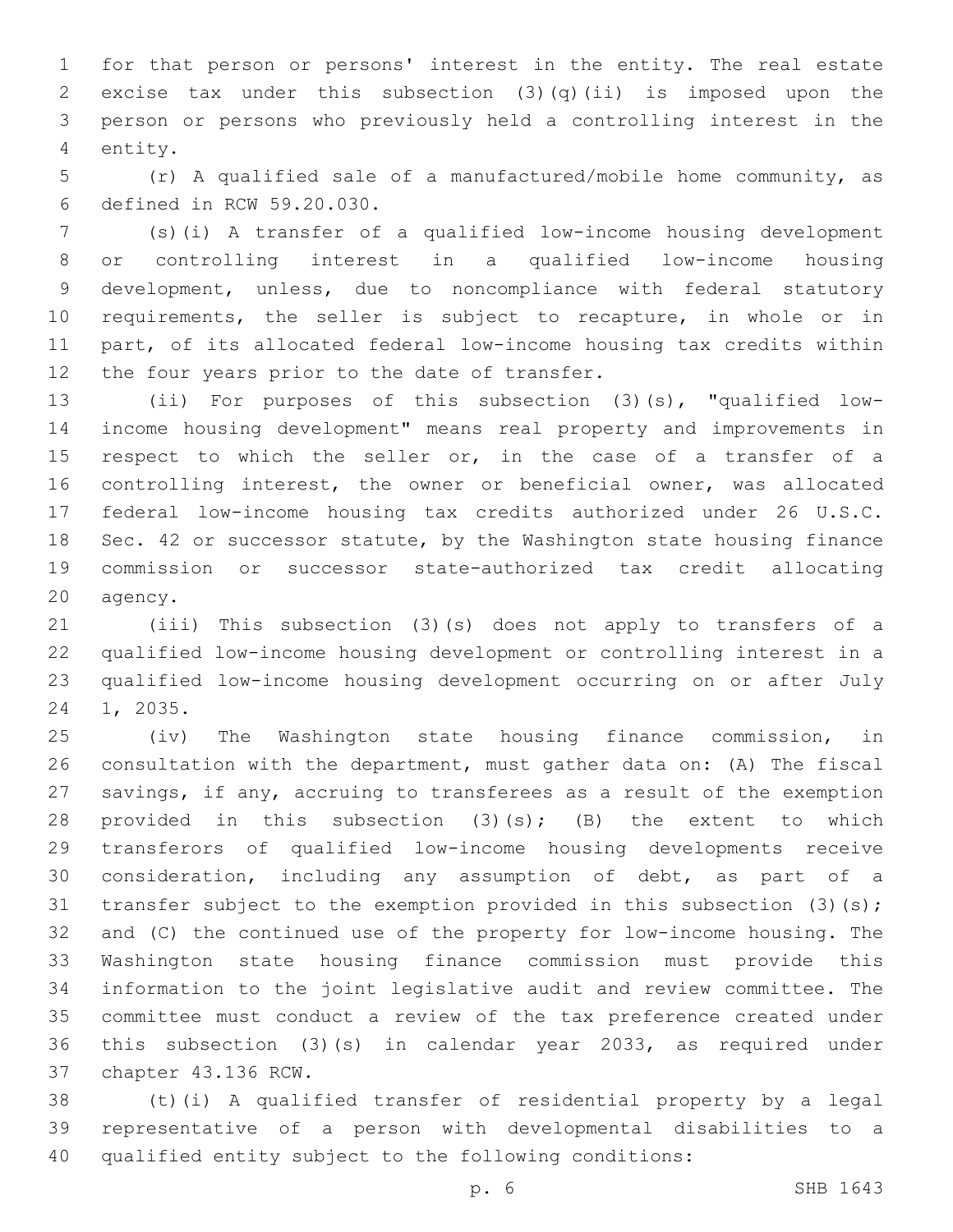for that person or persons' interest in the entity. The real estate excise tax under this subsection (3)(q)(ii) is imposed upon the person or persons who previously held a controlling interest in the 4 entity.

 (r) A qualified sale of a manufactured/mobile home community, as defined in RCW 59.20.030.6

 (s)(i) A transfer of a qualified low-income housing development or controlling interest in a qualified low-income housing development, unless, due to noncompliance with federal statutory requirements, the seller is subject to recapture, in whole or in part, of its allocated federal low-income housing tax credits within 12 the four years prior to the date of transfer.

 (ii) For purposes of this subsection (3)(s), "qualified low- income housing development" means real property and improvements in 15 respect to which the seller or, in the case of a transfer of a controlling interest, the owner or beneficial owner, was allocated federal low-income housing tax credits authorized under 26 U.S.C. Sec. 42 or successor statute, by the Washington state housing finance commission or successor state-authorized tax credit allocating 20 agency.

 (iii) This subsection (3)(s) does not apply to transfers of a qualified low-income housing development or controlling interest in a qualified low-income housing development occurring on or after July 24 1, 2035.

 (iv) The Washington state housing finance commission, in consultation with the department, must gather data on: (A) The fiscal savings, if any, accruing to transferees as a result of the exemption 28 provided in this subsection  $(3)(s)$ ;  $(B)$  the extent to which transferors of qualified low-income housing developments receive consideration, including any assumption of debt, as part of a 31 transfer subject to the exemption provided in this subsection (3)(s); and (C) the continued use of the property for low-income housing. The Washington state housing finance commission must provide this information to the joint legislative audit and review committee. The committee must conduct a review of the tax preference created under this subsection (3)(s) in calendar year 2033, as required under 37 chapter 43.136 RCW.

 (t)(i) A qualified transfer of residential property by a legal representative of a person with developmental disabilities to a qualified entity subject to the following conditions: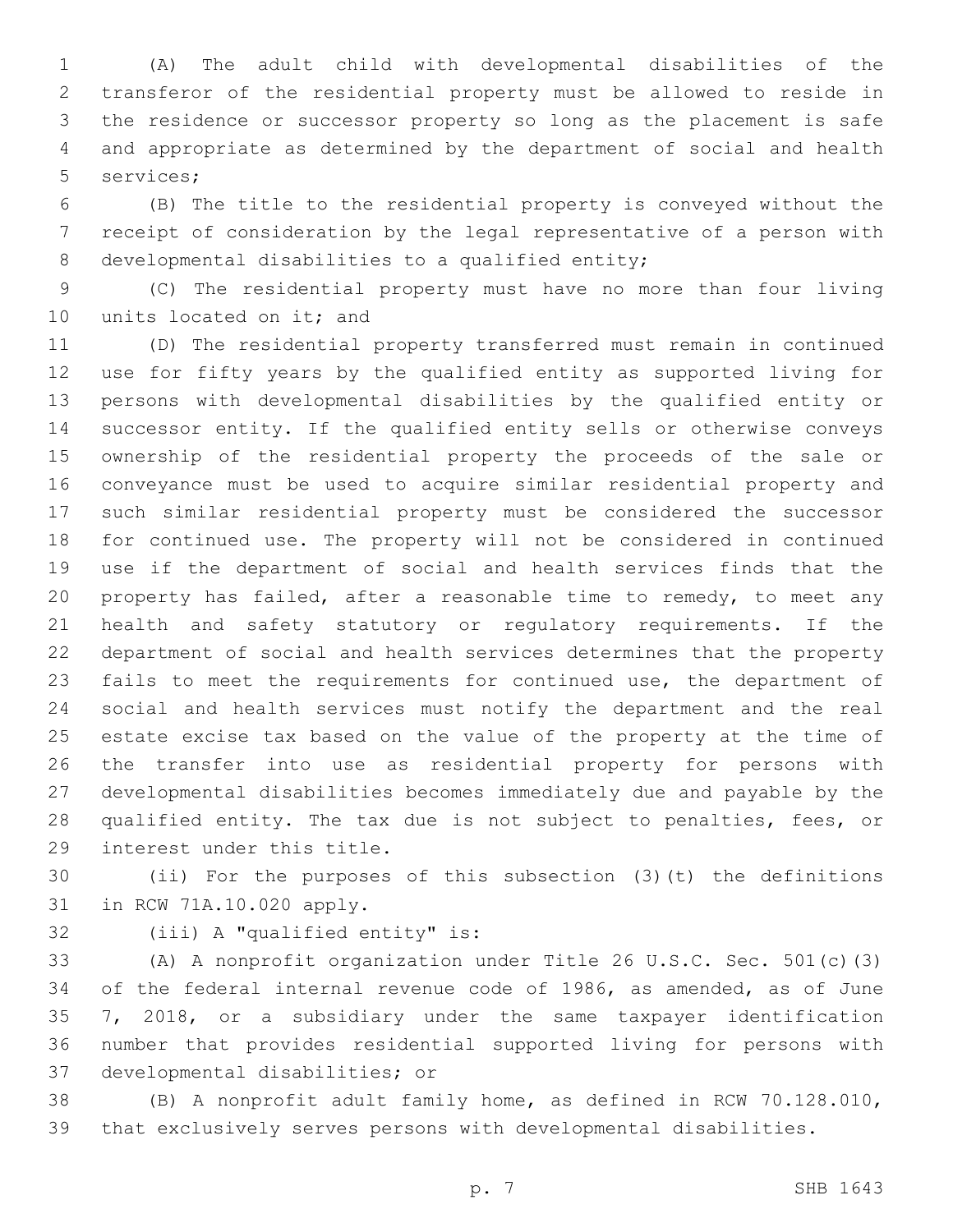(A) The adult child with developmental disabilities of the transferor of the residential property must be allowed to reside in the residence or successor property so long as the placement is safe and appropriate as determined by the department of social and health 5 services;

 (B) The title to the residential property is conveyed without the receipt of consideration by the legal representative of a person with 8 developmental disabilities to a qualified entity;

 (C) The residential property must have no more than four living 10 units located on it; and

 (D) The residential property transferred must remain in continued use for fifty years by the qualified entity as supported living for persons with developmental disabilities by the qualified entity or successor entity. If the qualified entity sells or otherwise conveys ownership of the residential property the proceeds of the sale or conveyance must be used to acquire similar residential property and such similar residential property must be considered the successor for continued use. The property will not be considered in continued use if the department of social and health services finds that the property has failed, after a reasonable time to remedy, to meet any health and safety statutory or regulatory requirements. If the department of social and health services determines that the property fails to meet the requirements for continued use, the department of social and health services must notify the department and the real estate excise tax based on the value of the property at the time of the transfer into use as residential property for persons with developmental disabilities becomes immediately due and payable by the qualified entity. The tax due is not subject to penalties, fees, or 29 interest under this title.

 (ii) For the purposes of this subsection (3)(t) the definitions 31 in RCW 71A.10.020 apply.

32 (iii) A "qualified entity" is:

 (A) A nonprofit organization under Title 26 U.S.C. Sec. 501(c)(3) of the federal internal revenue code of 1986, as amended, as of June 7, 2018, or a subsidiary under the same taxpayer identification number that provides residential supported living for persons with 37 developmental disabilities; or

 (B) A nonprofit adult family home, as defined in RCW 70.128.010, that exclusively serves persons with developmental disabilities.

p. 7 SHB 1643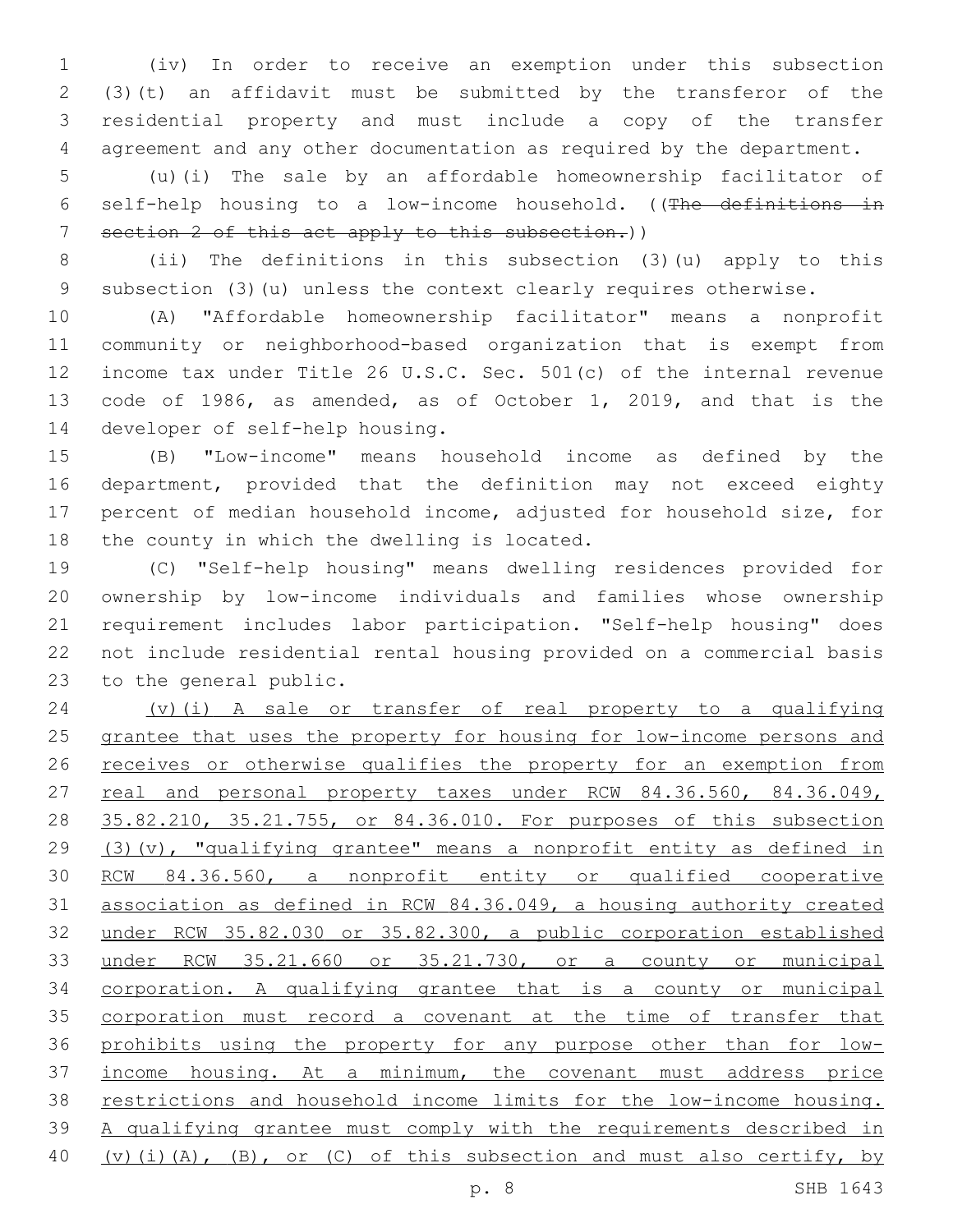(iv) In order to receive an exemption under this subsection (3)(t) an affidavit must be submitted by the transferor of the residential property and must include a copy of the transfer agreement and any other documentation as required by the department.

 (u)(i) The sale by an affordable homeownership facilitator of self-help housing to a low-income household. ((The definitions in section 2 of this act apply to this subsection.))

 (ii) The definitions in this subsection (3)(u) apply to this subsection (3)(u) unless the context clearly requires otherwise.

 (A) "Affordable homeownership facilitator" means a nonprofit community or neighborhood-based organization that is exempt from income tax under Title 26 U.S.C. Sec. 501(c) of the internal revenue code of 1986, as amended, as of October 1, 2019, and that is the 14 developer of self-help housing.

 (B) "Low-income" means household income as defined by the department, provided that the definition may not exceed eighty percent of median household income, adjusted for household size, for 18 the county in which the dwelling is located.

 (C) "Self-help housing" means dwelling residences provided for ownership by low-income individuals and families whose ownership requirement includes labor participation. "Self-help housing" does not include residential rental housing provided on a commercial basis 23 to the general public.

 (v)(i) A sale or transfer of real property to a qualifying grantee that uses the property for housing for low-income persons and 26 receives or otherwise qualifies the property for an exemption from 27 real and personal property taxes under RCW 84.36.560, 84.36.049, 35.82.210, 35.21.755, or 84.36.010. For purposes of this subsection (3)(v), "qualifying grantee" means a nonprofit entity as defined in RCW 84.36.560, a nonprofit entity or qualified cooperative association as defined in RCW 84.36.049, a housing authority created under RCW 35.82.030 or 35.82.300, a public corporation established under RCW 35.21.660 or 35.21.730, or a county or municipal corporation. A qualifying grantee that is a county or municipal 35 corporation must record a covenant at the time of transfer that prohibits using the property for any purpose other than for low- income housing. At a minimum, the covenant must address price restrictions and household income limits for the low-income housing. A qualifying grantee must comply with the requirements described in 40 (v)(i)(A), (B), or (C) of this subsection and must also certify, by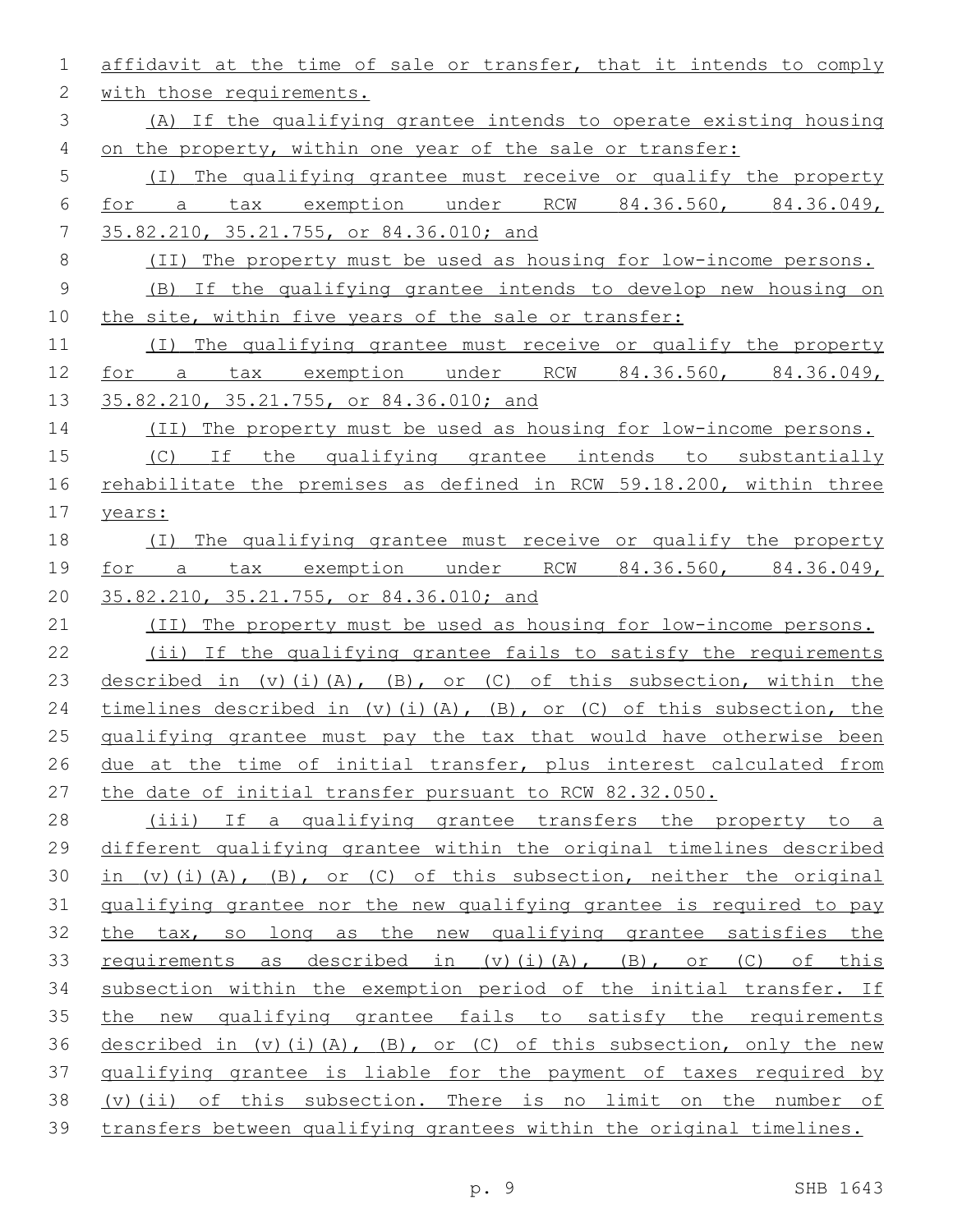| 1             | affidavit at the time of sale or transfer, that it intends to comply      |
|---------------|---------------------------------------------------------------------------|
| $\mathbf{2}$  | with those requirements.                                                  |
| $\mathcal{S}$ | (A) If the qualifying grantee intends to operate existing housing         |
| 4             | on the property, within one year of the sale or transfer:                 |
| 5             | (I) The qualifying grantee must receive or qualify the property           |
| 6             | for a tax exemption under RCW 84.36.560, 84.36.049,                       |
| 7             | 35.82.210, 35.21.755, or 84.36.010; and                                   |
| $\,8\,$       | (II) The property must be used as housing for low-income persons.         |
| $\mathsf 9$   | (B) If the qualifying grantee intends to develop new housing on           |
| 10            | the site, within five years of the sale or transfer:                      |
| 11            | (I) The qualifying grantee must receive or qualify the property           |
| 12            | for a tax exemption under RCW 84.36.560, 84.36.049,                       |
| 13            | 35.82.210, 35.21.755, or 84.36.010; and                                   |
| 14            | (II) The property must be used as housing for low-income persons.         |
| 15            | (C) If the qualifying grantee intends to substantially                    |
| 16            | rehabilitate the premises as defined in RCW 59.18.200, within three       |
| 17            | years:                                                                    |
| 18            | The qualifying grantee must receive or qualify the property<br>(T)        |
| 19            | for a tax exemption under RCW 84.36.560, 84.36.049,                       |
| 20            | 35.82.210, 35.21.755, or 84.36.010; and                                   |
| 21            | (II) The property must be used as housing for low-income persons.         |
| 22            | (ii) If the qualifying grantee fails to satisfy the requirements          |
| 23            | described in $(v)$ (i) (A), (B), or (C) of this subsection, within the    |
| 24            | timelines described in $(v)$ (i) (A), (B), or (C) of this subsection, the |
| 25            | qualifying grantee must pay the tax that would have otherwise been        |
| 26            | due at the time of initial transfer, plus interest calculated from        |
| 27            | the date of initial transfer pursuant to RCW 82.32.050.                   |
| 28            | (iii) If a qualifying grantee transfers the property to a                 |
| 29            | different qualifying grantee within the original timelines described      |
| 30            | in $(v)$ (i) (A), (B), or (C) of this subsection, neither the original    |
| 31            | qualifying grantee nor the new qualifying grantee is required to pay      |
| 32            | the tax, so long as the new qualifying grantee satisfies the              |
| 33            | requirements as described in $(v)$ (i) $(A)$ , $(B)$ , or $(C)$ of this   |
| 34            | subsection within the exemption period of the initial transfer. If        |
| 35            | the new qualifying grantee fails to satisfy the requirements              |
| 36            | described in $(v)$ (i) (A), (B), or (C) of this subsection, only the new  |
| 37            | qualifying grantee is liable for the payment of taxes required by         |
| 38            | (v) (ii) of this subsection. There is no limit on the number of           |
| 39            | transfers between qualifying grantees within the original timelines.      |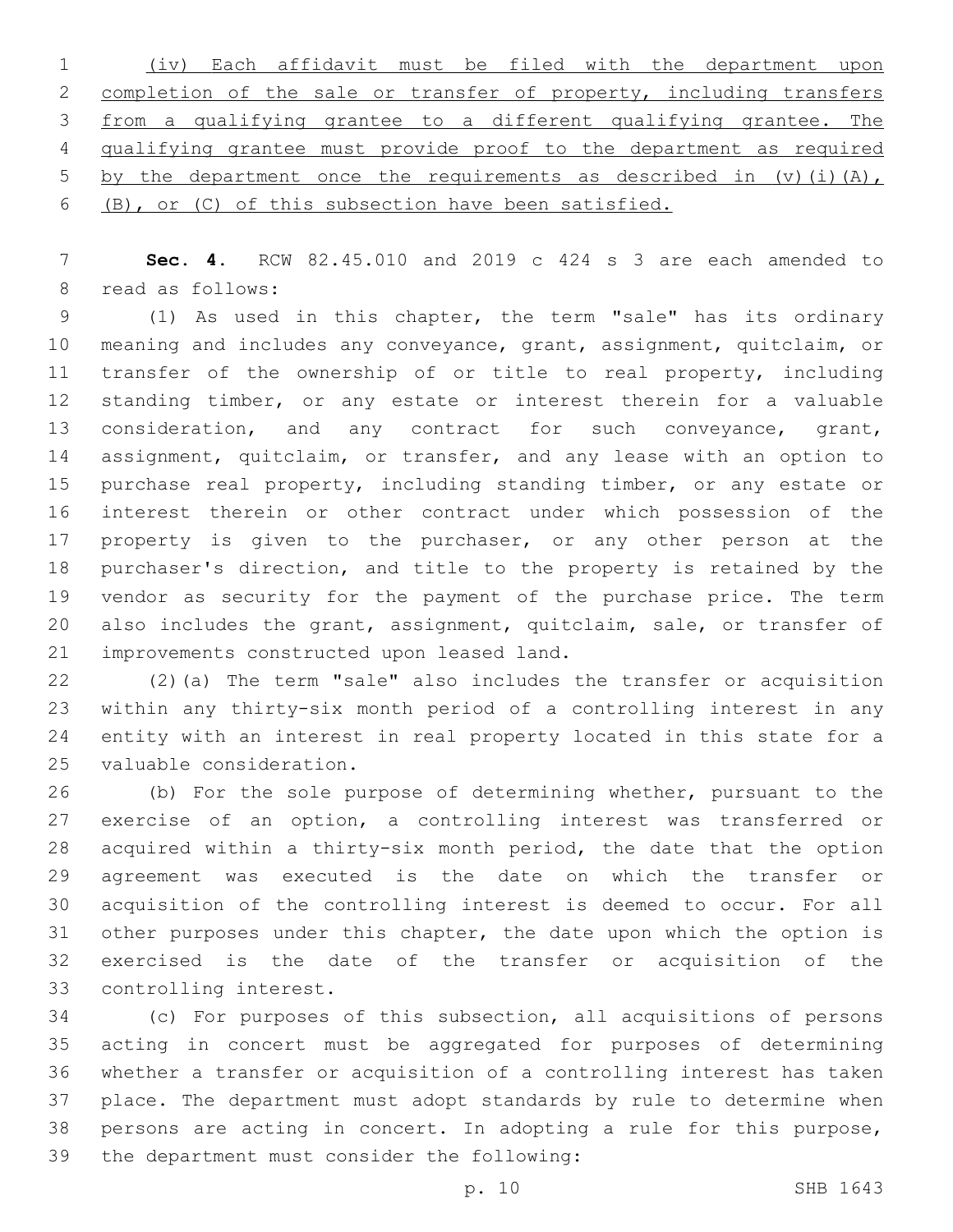| 1 (iv) Each affidavit must be filed with the department upon             |
|--------------------------------------------------------------------------|
| 2 completion of the sale or transfer of property, including transfers    |
| 3 from a qualifying grantee to a different qualifying grantee. The       |
| 4 qualifying grantee must provide proof to the department as required    |
| 5 by the department once the requirements as described in $(v)$ (i) (A), |
| 6 (B), or (C) of this subsection have been satisfied.                    |

 **Sec. 4.** RCW 82.45.010 and 2019 c 424 s 3 are each amended to 8 read as follows:

 (1) As used in this chapter, the term "sale" has its ordinary meaning and includes any conveyance, grant, assignment, quitclaim, or 11 transfer of the ownership of or title to real property, including standing timber, or any estate or interest therein for a valuable 13 consideration, and any contract for such conveyance, grant, assignment, quitclaim, or transfer, and any lease with an option to purchase real property, including standing timber, or any estate or interest therein or other contract under which possession of the 17 property is given to the purchaser, or any other person at the purchaser's direction, and title to the property is retained by the vendor as security for the payment of the purchase price. The term also includes the grant, assignment, quitclaim, sale, or transfer of 21 improvements constructed upon leased land.

 (2)(a) The term "sale" also includes the transfer or acquisition within any thirty-six month period of a controlling interest in any entity with an interest in real property located in this state for a 25 valuable consideration.

 (b) For the sole purpose of determining whether, pursuant to the exercise of an option, a controlling interest was transferred or acquired within a thirty-six month period, the date that the option agreement was executed is the date on which the transfer or acquisition of the controlling interest is deemed to occur. For all other purposes under this chapter, the date upon which the option is exercised is the date of the transfer or acquisition of the 33 controlling interest.

 (c) For purposes of this subsection, all acquisitions of persons acting in concert must be aggregated for purposes of determining whether a transfer or acquisition of a controlling interest has taken place. The department must adopt standards by rule to determine when persons are acting in concert. In adopting a rule for this purpose, 39 the department must consider the following: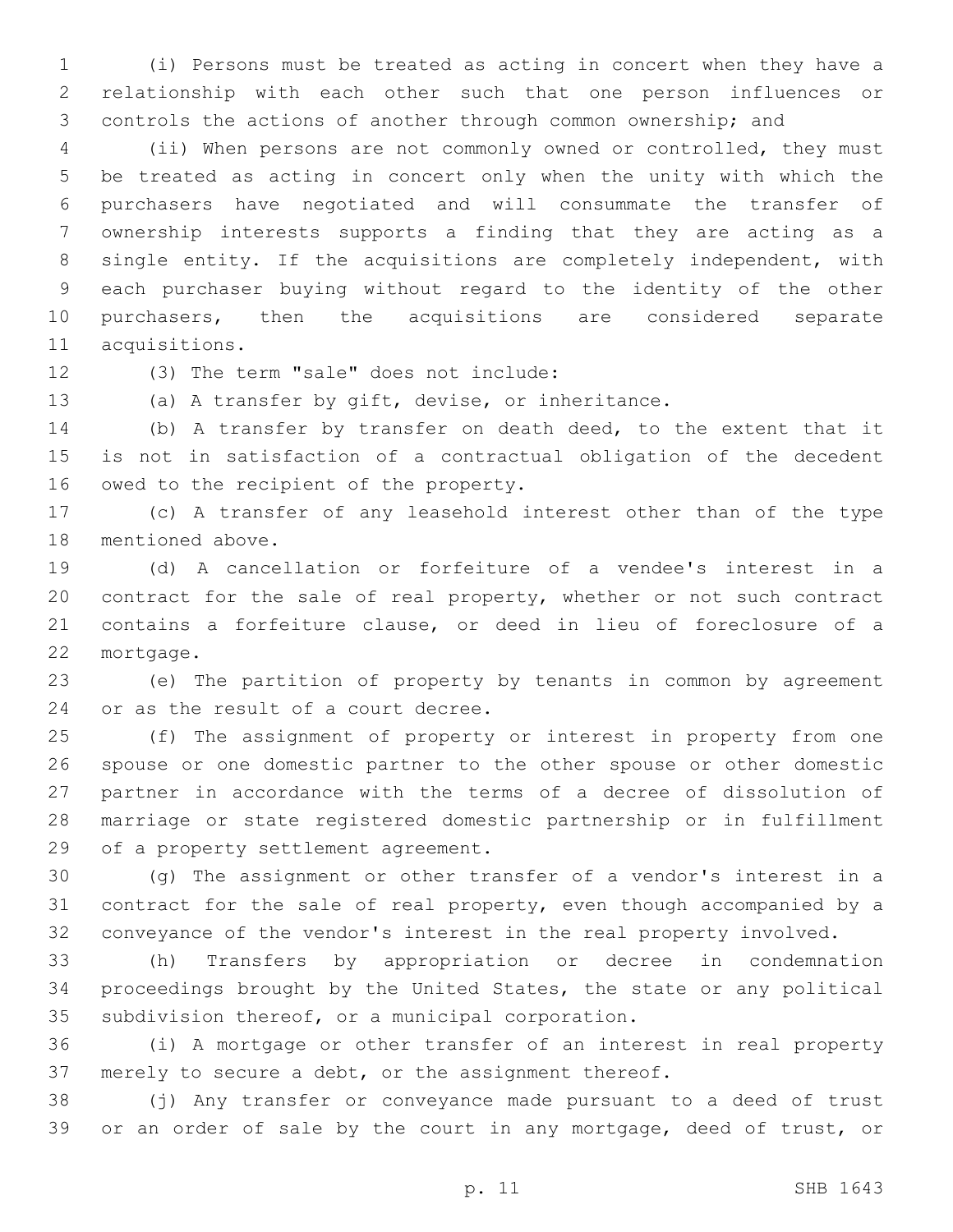(i) Persons must be treated as acting in concert when they have a relationship with each other such that one person influences or controls the actions of another through common ownership; and

 (ii) When persons are not commonly owned or controlled, they must be treated as acting in concert only when the unity with which the purchasers have negotiated and will consummate the transfer of ownership interests supports a finding that they are acting as a single entity. If the acquisitions are completely independent, with each purchaser buying without regard to the identity of the other purchasers, then the acquisitions are considered separate 11 acquisitions.

12 (3) The term "sale" does not include:

(a) A transfer by gift, devise, or inheritance.

 (b) A transfer by transfer on death deed, to the extent that it is not in satisfaction of a contractual obligation of the decedent 16 owed to the recipient of the property.

 (c) A transfer of any leasehold interest other than of the type 18 mentioned above.

 (d) A cancellation or forfeiture of a vendee's interest in a contract for the sale of real property, whether or not such contract contains a forfeiture clause, or deed in lieu of foreclosure of a 22 mortgage.

 (e) The partition of property by tenants in common by agreement 24 or as the result of a court decree.

 (f) The assignment of property or interest in property from one spouse or one domestic partner to the other spouse or other domestic partner in accordance with the terms of a decree of dissolution of marriage or state registered domestic partnership or in fulfillment 29 of a property settlement agreement.

 (g) The assignment or other transfer of a vendor's interest in a contract for the sale of real property, even though accompanied by a conveyance of the vendor's interest in the real property involved.

 (h) Transfers by appropriation or decree in condemnation proceedings brought by the United States, the state or any political 35 subdivision thereof, or a municipal corporation.

 (i) A mortgage or other transfer of an interest in real property merely to secure a debt, or the assignment thereof.

 (j) Any transfer or conveyance made pursuant to a deed of trust or an order of sale by the court in any mortgage, deed of trust, or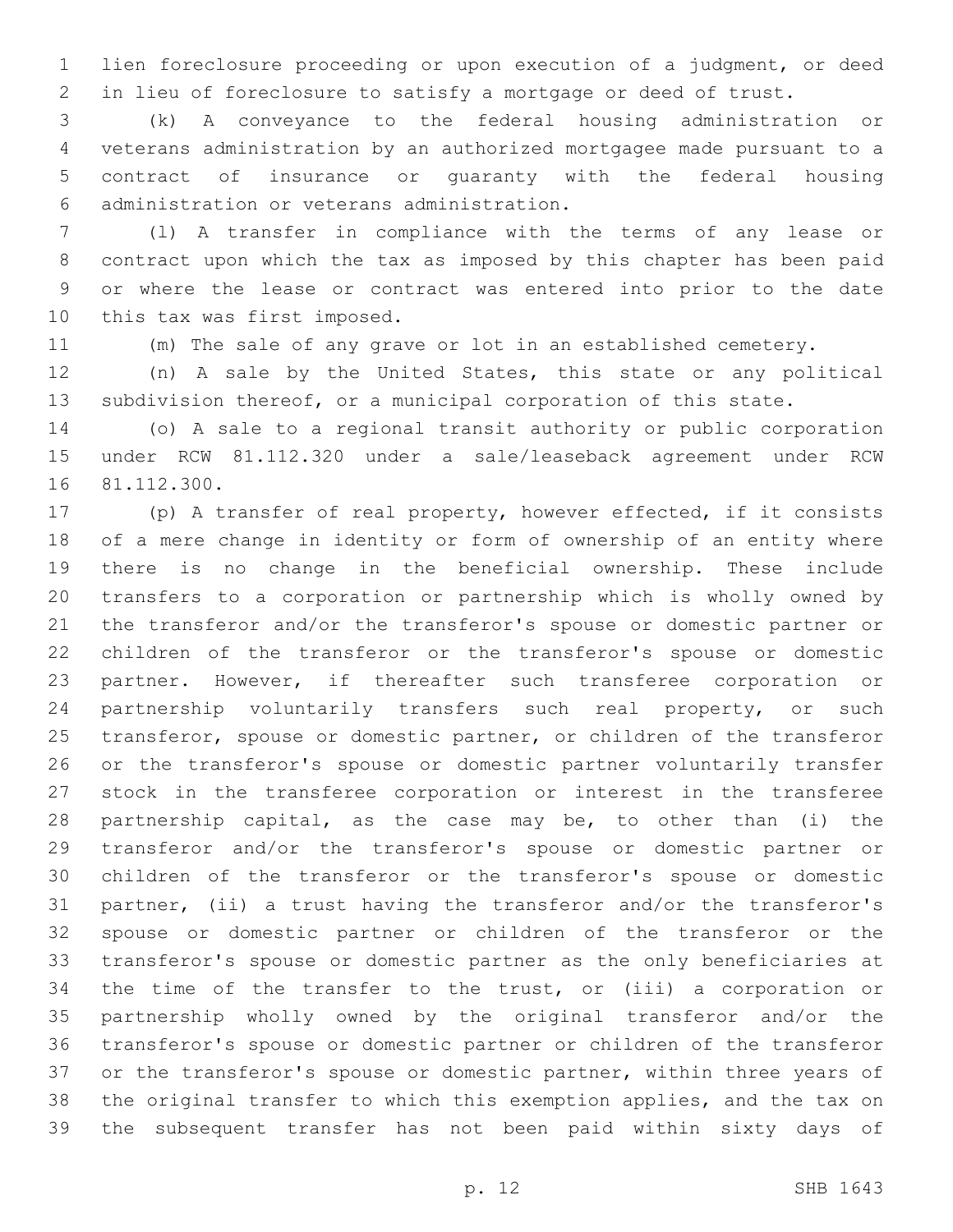lien foreclosure proceeding or upon execution of a judgment, or deed in lieu of foreclosure to satisfy a mortgage or deed of trust.

 (k) A conveyance to the federal housing administration or veterans administration by an authorized mortgagee made pursuant to a contract of insurance or guaranty with the federal housing administration or veterans administration.6

 (l) A transfer in compliance with the terms of any lease or contract upon which the tax as imposed by this chapter has been paid or where the lease or contract was entered into prior to the date 10 this tax was first imposed.

(m) The sale of any grave or lot in an established cemetery.

 (n) A sale by the United States, this state or any political subdivision thereof, or a municipal corporation of this state.

 (o) A sale to a regional transit authority or public corporation under RCW 81.112.320 under a sale/leaseback agreement under RCW 16 81.112.300.

 (p) A transfer of real property, however effected, if it consists of a mere change in identity or form of ownership of an entity where there is no change in the beneficial ownership. These include transfers to a corporation or partnership which is wholly owned by the transferor and/or the transferor's spouse or domestic partner or children of the transferor or the transferor's spouse or domestic partner. However, if thereafter such transferee corporation or 24 partnership voluntarily transfers such real property, or such transferor, spouse or domestic partner, or children of the transferor or the transferor's spouse or domestic partner voluntarily transfer stock in the transferee corporation or interest in the transferee partnership capital, as the case may be, to other than (i) the transferor and/or the transferor's spouse or domestic partner or children of the transferor or the transferor's spouse or domestic partner, (ii) a trust having the transferor and/or the transferor's spouse or domestic partner or children of the transferor or the transferor's spouse or domestic partner as the only beneficiaries at the time of the transfer to the trust, or (iii) a corporation or partnership wholly owned by the original transferor and/or the transferor's spouse or domestic partner or children of the transferor 37 or the transferor's spouse or domestic partner, within three years of the original transfer to which this exemption applies, and the tax on the subsequent transfer has not been paid within sixty days of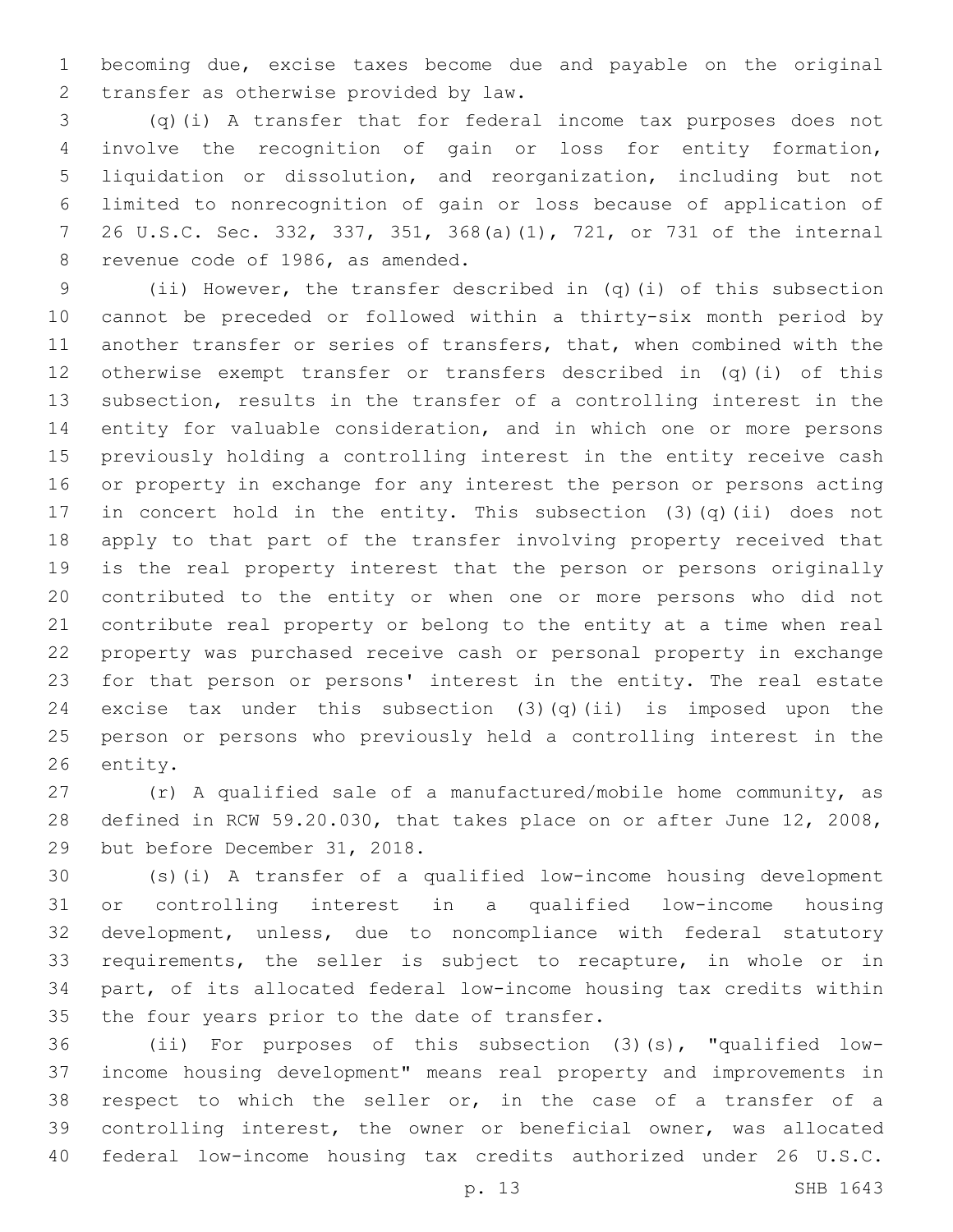becoming due, excise taxes become due and payable on the original 2 transfer as otherwise provided by law.

 (q)(i) A transfer that for federal income tax purposes does not involve the recognition of gain or loss for entity formation, liquidation or dissolution, and reorganization, including but not limited to nonrecognition of gain or loss because of application of 26 U.S.C. Sec. 332, 337, 351, 368(a)(1), 721, or 731 of the internal 8 revenue code of 1986, as amended.

 (ii) However, the transfer described in (q)(i) of this subsection cannot be preceded or followed within a thirty-six month period by another transfer or series of transfers, that, when combined with the otherwise exempt transfer or transfers described in (q)(i) of this subsection, results in the transfer of a controlling interest in the entity for valuable consideration, and in which one or more persons previously holding a controlling interest in the entity receive cash or property in exchange for any interest the person or persons acting in concert hold in the entity. This subsection (3)(q)(ii) does not apply to that part of the transfer involving property received that is the real property interest that the person or persons originally contributed to the entity or when one or more persons who did not contribute real property or belong to the entity at a time when real property was purchased receive cash or personal property in exchange for that person or persons' interest in the entity. The real estate 24 excise tax under this subsection  $(3)(q)(ii)$  is imposed upon the person or persons who previously held a controlling interest in the 26 entity.

 (r) A qualified sale of a manufactured/mobile home community, as defined in RCW 59.20.030, that takes place on or after June 12, 2008, 29 but before December 31, 2018.

 (s)(i) A transfer of a qualified low-income housing development or controlling interest in a qualified low-income housing development, unless, due to noncompliance with federal statutory requirements, the seller is subject to recapture, in whole or in part, of its allocated federal low-income housing tax credits within 35 the four years prior to the date of transfer.

 (ii) For purposes of this subsection (3)(s), "qualified low- income housing development" means real property and improvements in respect to which the seller or, in the case of a transfer of a controlling interest, the owner or beneficial owner, was allocated federal low-income housing tax credits authorized under 26 U.S.C.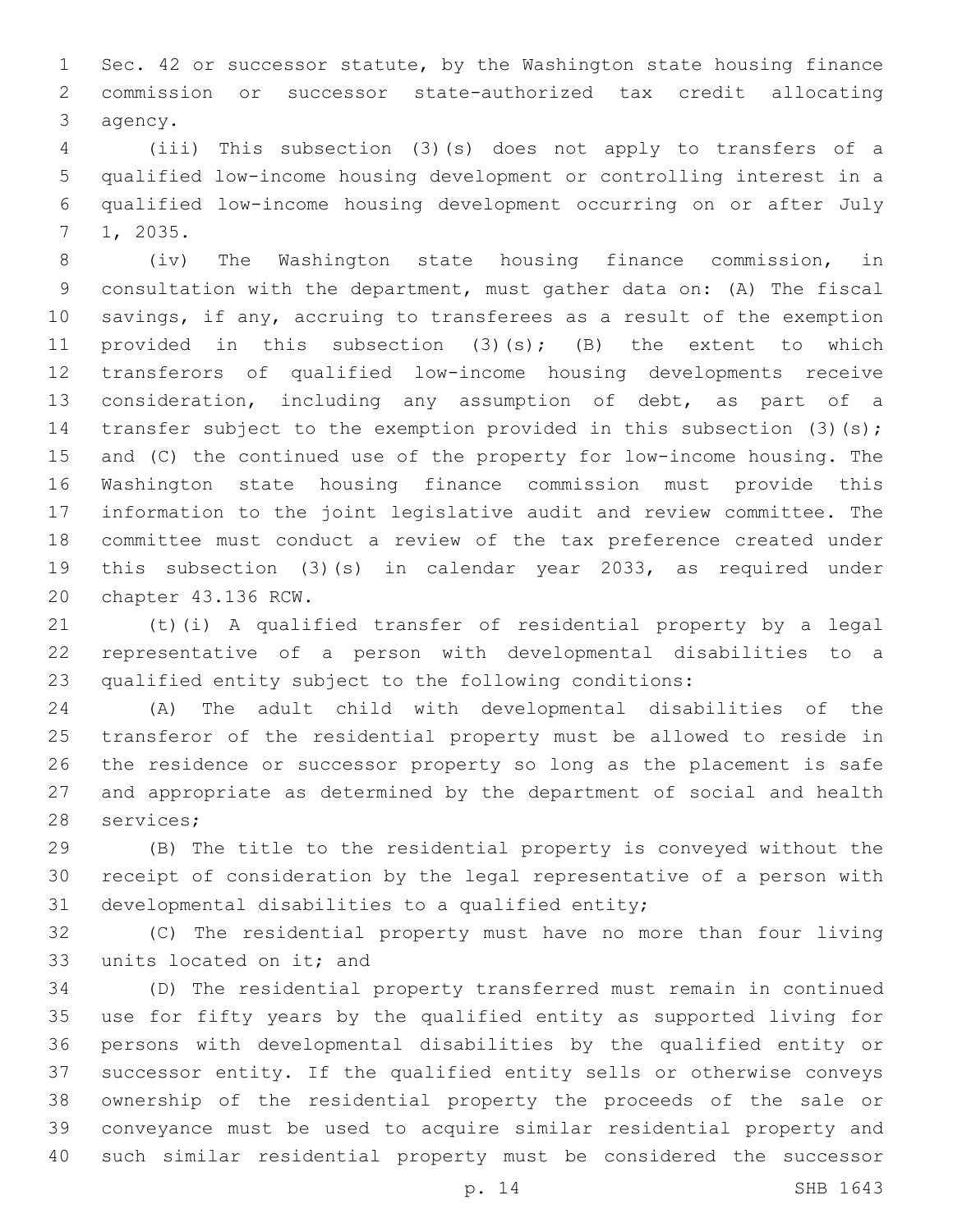Sec. 42 or successor statute, by the Washington state housing finance commission or successor state-authorized tax credit allocating 3 agency.

 (iii) This subsection (3)(s) does not apply to transfers of a qualified low-income housing development or controlling interest in a qualified low-income housing development occurring on or after July 1, 2035.7

 (iv) The Washington state housing finance commission, in consultation with the department, must gather data on: (A) The fiscal savings, if any, accruing to transferees as a result of the exemption 11 provided in this subsection (3)(s); (B) the extent to which transferors of qualified low-income housing developments receive consideration, including any assumption of debt, as part of a 14 transfer subject to the exemption provided in this subsection (3)(s); and (C) the continued use of the property for low-income housing. The Washington state housing finance commission must provide this information to the joint legislative audit and review committee. The committee must conduct a review of the tax preference created under this subsection (3)(s) in calendar year 2033, as required under 20 chapter 43.136 RCW.

 (t)(i) A qualified transfer of residential property by a legal representative of a person with developmental disabilities to a qualified entity subject to the following conditions:

 (A) The adult child with developmental disabilities of the transferor of the residential property must be allowed to reside in the residence or successor property so long as the placement is safe and appropriate as determined by the department of social and health 28 services;

 (B) The title to the residential property is conveyed without the receipt of consideration by the legal representative of a person with 31 developmental disabilities to a qualified entity;

 (C) The residential property must have no more than four living 33 units located on it; and

 (D) The residential property transferred must remain in continued use for fifty years by the qualified entity as supported living for persons with developmental disabilities by the qualified entity or successor entity. If the qualified entity sells or otherwise conveys ownership of the residential property the proceeds of the sale or conveyance must be used to acquire similar residential property and such similar residential property must be considered the successor

p. 14 SHB 1643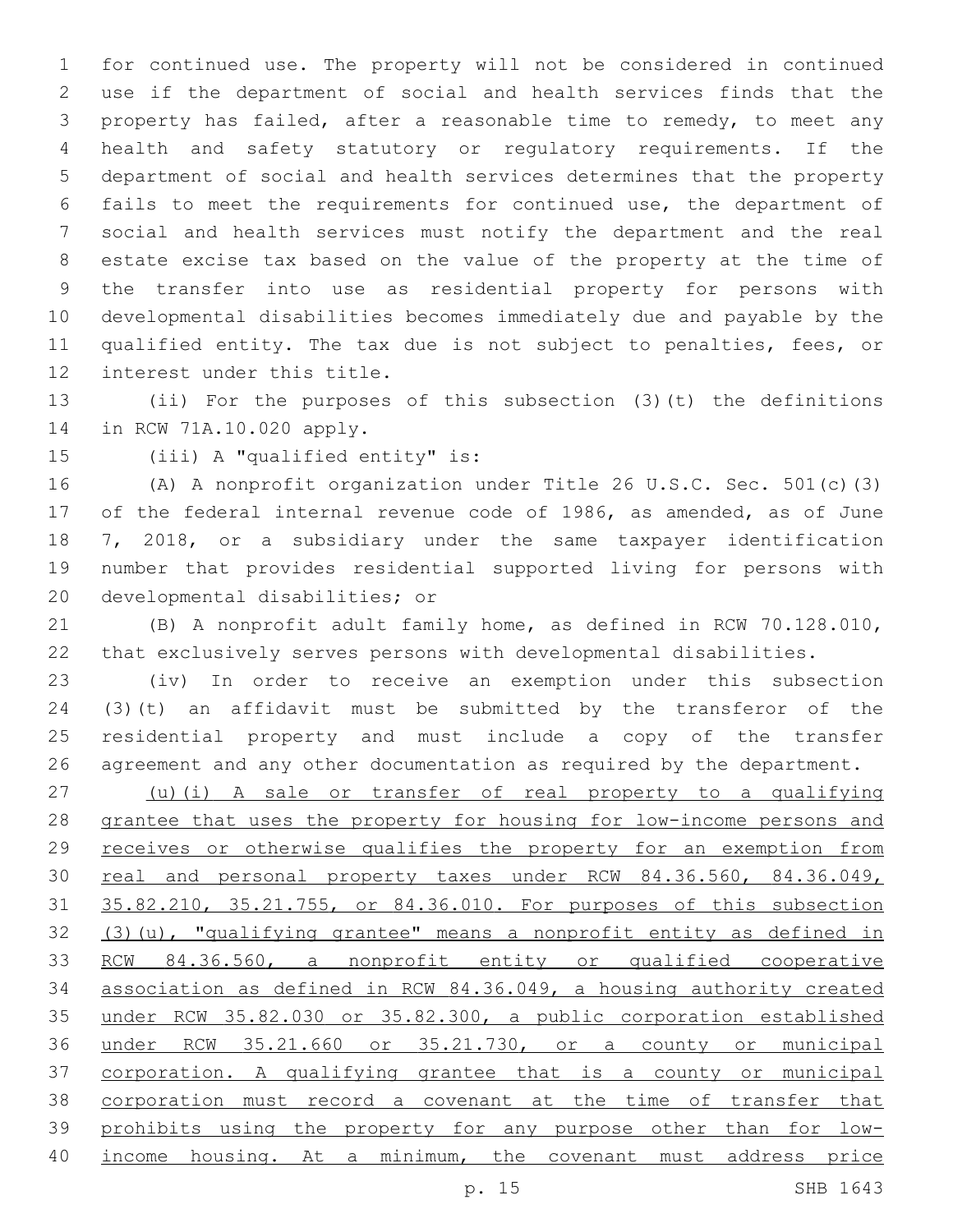for continued use. The property will not be considered in continued use if the department of social and health services finds that the property has failed, after a reasonable time to remedy, to meet any health and safety statutory or regulatory requirements. If the department of social and health services determines that the property fails to meet the requirements for continued use, the department of social and health services must notify the department and the real estate excise tax based on the value of the property at the time of the transfer into use as residential property for persons with developmental disabilities becomes immediately due and payable by the qualified entity. The tax due is not subject to penalties, fees, or 12 interest under this title.

 (ii) For the purposes of this subsection (3)(t) the definitions 14 in RCW 71A.10.020 apply.

15 (iii) A "qualified entity" is:

 (A) A nonprofit organization under Title 26 U.S.C. Sec. 501(c)(3) of the federal internal revenue code of 1986, as amended, as of June 7, 2018, or a subsidiary under the same taxpayer identification number that provides residential supported living for persons with 20 developmental disabilities; or

 (B) A nonprofit adult family home, as defined in RCW 70.128.010, that exclusively serves persons with developmental disabilities.

 (iv) In order to receive an exemption under this subsection (3)(t) an affidavit must be submitted by the transferor of the residential property and must include a copy of the transfer agreement and any other documentation as required by the department.

 (u)(i) A sale or transfer of real property to a qualifying grantee that uses the property for housing for low-income persons and receives or otherwise qualifies the property for an exemption from 30 real and personal property taxes under RCW 84.36.560, 84.36.049, 35.82.210, 35.21.755, or 84.36.010. For purposes of this subsection (3)(u), "qualifying grantee" means a nonprofit entity as defined in RCW 84.36.560, a nonprofit entity or qualified cooperative association as defined in RCW 84.36.049, a housing authority created under RCW 35.82.030 or 35.82.300, a public corporation established under RCW 35.21.660 or 35.21.730, or a county or municipal corporation. A qualifying grantee that is a county or municipal corporation must record a covenant at the time of transfer that prohibits using the property for any purpose other than for low-income housing. At a minimum, the covenant must address price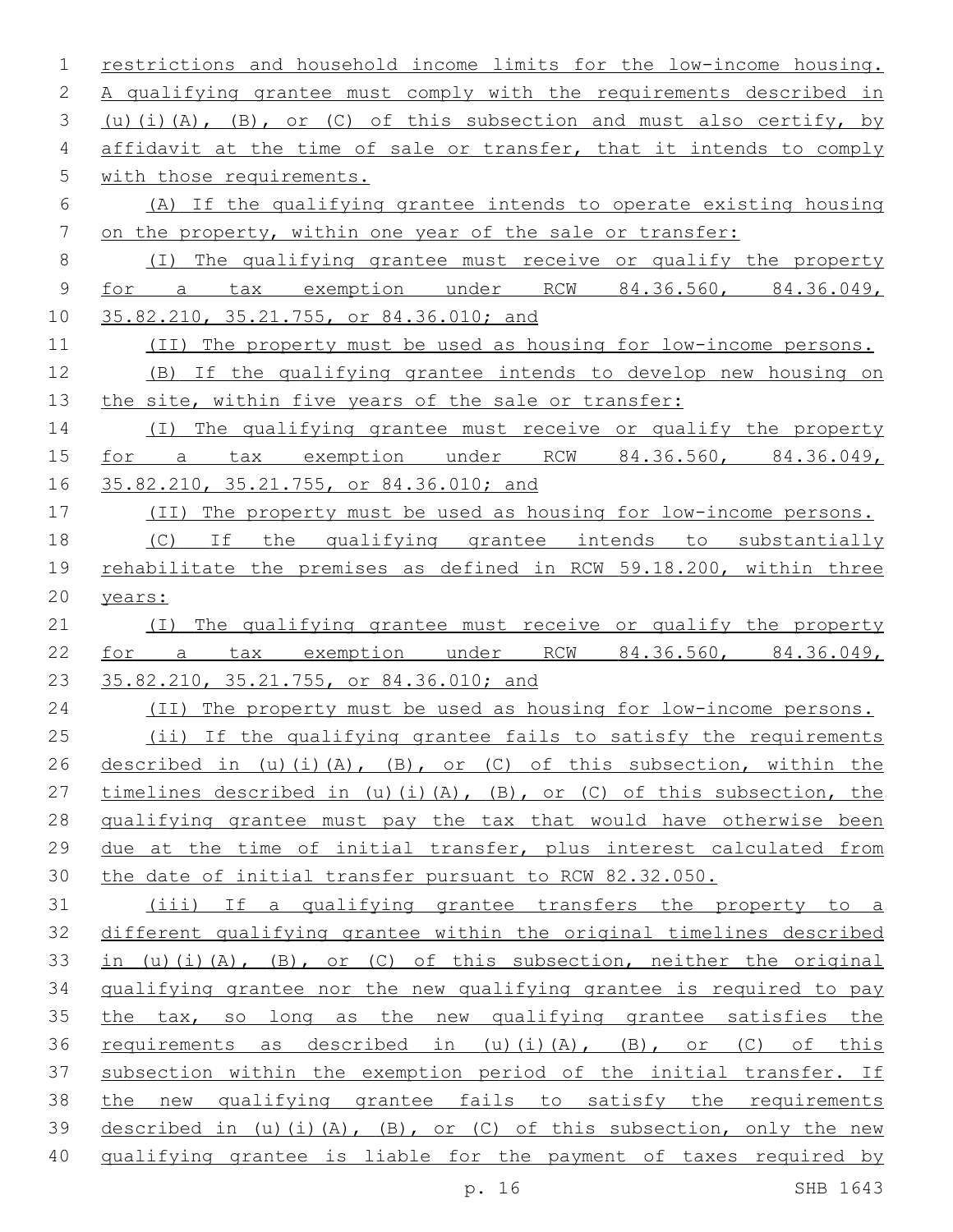restrictions and household income limits for the low-income housing. A qualifying grantee must comply with the requirements described in  $(u)(i)(A)$ ,  $(B)$ , or  $(C)$  of this subsection and must also certify, by affidavit at the time of sale or transfer, that it intends to comply 5 with those requirements. (A) If the qualifying grantee intends to operate existing housing 7 on the property, within one year of the sale or transfer: (I) The qualifying grantee must receive or qualify the property for a tax exemption under RCW 84.36.560, 84.36.049, 35.82.210, 35.21.755, or 84.36.010; and (II) The property must be used as housing for low-income persons. (B) If the qualifying grantee intends to develop new housing on 13 the site, within five years of the sale or transfer: (I) The qualifying grantee must receive or qualify the property for a tax exemption under RCW 84.36.560, 84.36.049, 35.82.210, 35.21.755, or 84.36.010; and (II) The property must be used as housing for low-income persons. 18 (C) If the qualifying grantee intends to substantially rehabilitate the premises as defined in RCW 59.18.200, within three years: (I) The qualifying grantee must receive or qualify the property for a tax exemption under RCW 84.36.560, 84.36.049, 23 35.82.210, 35.21.755, or 84.36.010; and (II) The property must be used as housing for low-income persons. 25 (ii) If the qualifying grantee fails to satisfy the requirements described in (u)(i)(A), (B), or (C) of this subsection, within the 27 timelines described in (u)(i)(A), (B), or (C) of this subsection, the qualifying grantee must pay the tax that would have otherwise been due at the time of initial transfer, plus interest calculated from the date of initial transfer pursuant to RCW 82.32.050. (iii) If a qualifying grantee transfers the property to a different qualifying grantee within the original timelines described 33 in (u)(i)(A), (B), or (C) of this subsection, neither the original qualifying grantee nor the new qualifying grantee is required to pay 35 the tax, so long as the new qualifying grantee satisfies the 36 requirements as described in (u)(i)(A), (B), or (C) of this subsection within the exemption period of the initial transfer. If the new qualifying grantee fails to satisfy the requirements 39 described in (u)(i)(A), (B), or (C) of this subsection, only the new qualifying grantee is liable for the payment of taxes required by